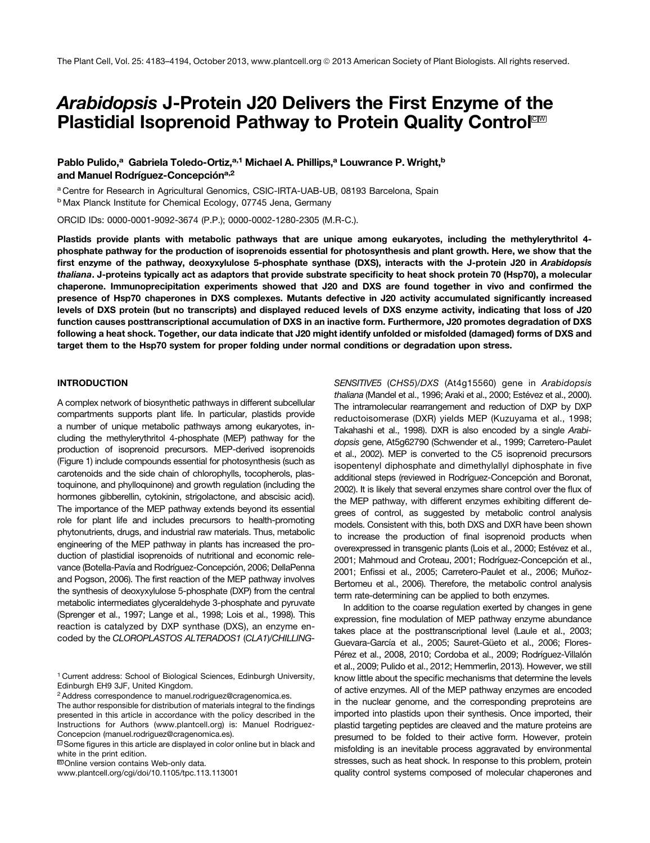# Arabidopsis J-Protein J20 Delivers the First Enzyme of the Plastidial Isoprenoid Pathway to Protein Quality Control<sup>om</sup>

## Pablo Pulido,<sup>a</sup> Gabriela Toledo-Ortiz,<sup>a,1</sup> Michael A. Phillips,<sup>a</sup> Louwrance P. Wright,<sup>b</sup> and Manuel Rodríguez-Concepción<sup>a,2</sup>

<sup>a</sup> Centre for Research in Agricultural Genomics, CSIC-IRTA-UAB-UB, 08193 Barcelona, Spain

<sup>b</sup> Max Planck Institute for Chemical Ecology, 07745 Jena, Germany

ORCID IDs: [0000-0001-9092-3674](http://orcid.org/0000-0001-9092-3674) (P.P.); [0000-0002-1280-2305](http://orcid.org/0000-0002-1280-2305) (M.R-C.).

Plastids provide plants with metabolic pathways that are unique among eukaryotes, including the methylerythritol 4 phosphate pathway for the production of isoprenoids essential for photosynthesis and plant growth. Here, we show that the first enzyme of the pathway, deoxyxylulose 5-phosphate synthase (DXS), interacts with the J-protein J20 in Arabidopsis thaliana. J-proteins typically act as adaptors that provide substrate specificity to heat shock protein 70 (Hsp70), a molecular chaperone. Immunoprecipitation experiments showed that J20 and DXS are found together in vivo and confirmed the presence of Hsp70 chaperones in DXS complexes. Mutants defective in J20 activity accumulated significantly increased levels of DXS protein (but no transcripts) and displayed reduced levels of DXS enzyme activity, indicating that loss of J20 function causes posttranscriptional accumulation of DXS in an inactive form. Furthermore, J20 promotes degradation of DXS following a heat shock. Together, our data indicate that J20 might identify unfolded or misfolded (damaged) forms of DXS and target them to the Hsp70 system for proper folding under normal conditions or degradation upon stress.

## INTRODUCTION

A complex network of biosynthetic pathways in different subcellular compartments supports plant life. In particular, plastids provide a number of unique metabolic pathways among eukaryotes, including the methylerythritol 4-phosphate (MEP) pathway for the production of isoprenoid precursors. MEP-derived isoprenoids (Figure 1) include compounds essential for photosynthesis (such as carotenoids and the side chain of chlorophylls, tocopherols, plastoquinone, and phylloquinone) and growth regulation (including the hormones gibberellin, cytokinin, strigolactone, and abscisic acid). The importance of the MEP pathway extends beyond its essential role for plant life and includes precursors to health-promoting phytonutrients, drugs, and industrial raw materials. Thus, metabolic engineering of the MEP pathway in plants has increased the production of plastidial isoprenoids of nutritional and economic relevance (Botella-Pavía and Rodríguez-Concepción, 2006; DellaPenna and Pogson, 2006). The first reaction of the MEP pathway involves the synthesis of deoxyxylulose 5-phosphate (DXP) from the central metabolic intermediates glyceraldehyde 3-phosphate and pyruvate (Sprenger et al., 1997; Lange et al., 1998; Lois et al., 1998). This reaction is catalyzed by DXP synthase (DXS), an enzyme encoded by the CLOROPLASTOS ALTERADOS1 (CLA1)/CHILLING-

<sup>1</sup> Current address: School of Biological Sciences, Edinburgh University, Edinburgh EH9 3JF, United Kingdom.

2Address correspondence to [manuel.rodriguez@cragenomica.es.](mailto:manuel.rodriguez@cragenomica.es)

<sup>III</sup> Online version contains Web-only data.

[www.plantcell.org/cgi/doi/10.1105/tpc.113.113001](http://www.plantcell.org/cgi/doi/10.1105/tpc.113.113001)

SENSITIVE5 (CHS5)/DXS (At4g15560) gene in Arabidopsis thaliana (Mandel et al., 1996; Araki et al., 2000; Estévez et al., 2000). The intramolecular rearrangement and reduction of DXP by DXP reductoisomerase (DXR) yields MEP (Kuzuyama et al., 1998; Takahashi et al., 1998). DXR is also encoded by a single Arabidopsis gene, At5g62790 (Schwender et al., 1999; Carretero-Paulet et al., 2002). MEP is converted to the C5 isoprenoid precursors isopentenyl diphosphate and dimethylallyl diphosphate in five additional steps (reviewed in Rodríguez-Concepción and Boronat, 2002). It is likely that several enzymes share control over the flux of the MEP pathway, with different enzymes exhibiting different degrees of control, as suggested by metabolic control analysis models. Consistent with this, both DXS and DXR have been shown to increase the production of final isoprenoid products when overexpressed in transgenic plants (Lois et al., 2000; Estévez et al., 2001; Mahmoud and Croteau, 2001; Rodríguez-Concepción et al., 2001; Enfissi et al., 2005; Carretero-Paulet et al., 2006; Muñoz-Bertomeu et al., 2006). Therefore, the metabolic control analysis term rate-determining can be applied to both enzymes.

In addition to the coarse regulation exerted by changes in gene expression, fine modulation of MEP pathway enzyme abundance takes place at the posttranscriptional level (Laule et al., 2003; Guevara-García et al., 2005; Sauret-Güeto et al., 2006; Flores-Pérez et al., 2008, 2010; Cordoba et al., 2009; Rodríguez-Villalón et al., 2009; Pulido et al., 2012; Hemmerlin, 2013). However, we still know little about the specific mechanisms that determine the levels of active enzymes. All of the MEP pathway enzymes are encoded in the nuclear genome, and the corresponding preproteins are imported into plastids upon their synthesis. Once imported, their plastid targeting peptides are cleaved and the mature proteins are presumed to be folded to their active form. However, protein misfolding is an inevitable process aggravated by environmental stresses, such as heat shock. In response to this problem, protein quality control systems composed of molecular chaperones and

The author responsible for distribution of materials integral to the findings presented in this article in accordance with the policy described in the Instructions for Authors ([www.plantcell.org](http://www.plantcell.org)) is: Manuel Rodriguez-Concepcion ([manuel.rodriguez@cragenomica.es\)](mailto:manuel.rodriguez@cragenomica.es).

<sup>&</sup>lt;sup>C</sup> Some figures in this article are displayed in color online but in black and white in the print edition.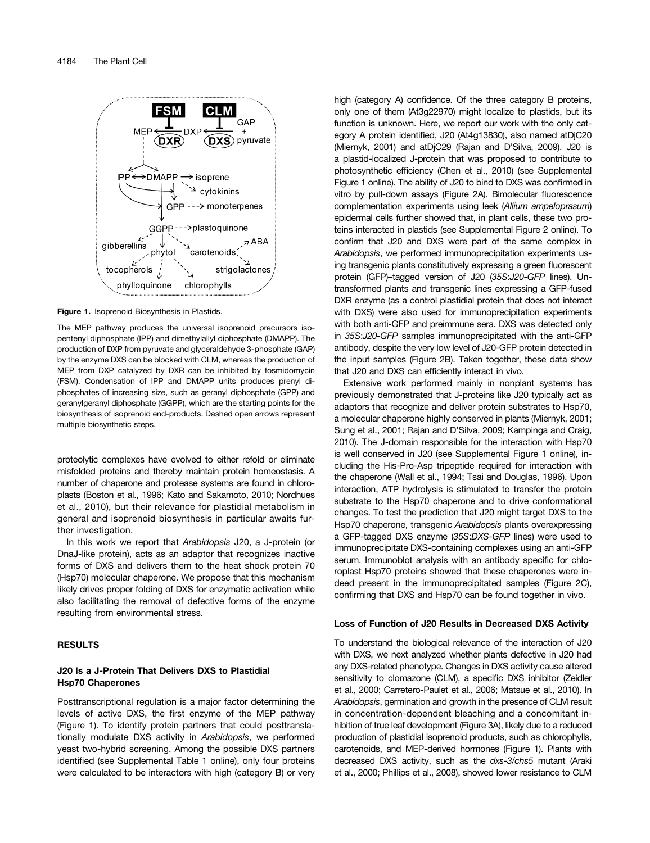

Figure 1. Isoprenoid Biosynthesis in Plastids.

The MEP pathway produces the universal isoprenoid precursors isopentenyl diphosphate (IPP) and dimethylallyl diphosphate (DMAPP). The production of DXP from pyruvate and glyceraldehyde 3-phosphate (GAP) by the enzyme DXS can be blocked with CLM, whereas the production of MEP from DXP catalyzed by DXR can be inhibited by fosmidomycin (FSM). Condensation of IPP and DMAPP units produces prenyl diphosphates of increasing size, such as geranyl diphosphate (GPP) and geranylgeranyl diphosphate (GGPP), which are the starting points for the biosynthesis of isoprenoid end-products. Dashed open arrows represent multiple biosynthetic steps.

proteolytic complexes have evolved to either refold or eliminate misfolded proteins and thereby maintain protein homeostasis. A number of chaperone and protease systems are found in chloroplasts (Boston et al., 1996; Kato and Sakamoto, 2010; Nordhues et al., 2010), but their relevance for plastidial metabolism in general and isoprenoid biosynthesis in particular awaits further investigation.

In this work we report that Arabidopsis J20, a J-protein (or DnaJ-like protein), acts as an adaptor that recognizes inactive forms of DXS and delivers them to the heat shock protein 70 (Hsp70) molecular chaperone. We propose that this mechanism likely drives proper folding of DXS for enzymatic activation while also facilitating the removal of defective forms of the enzyme resulting from environmental stress.

#### RESULTS

## J20 Is a J-Protein That Delivers DXS to Plastidial Hsp70 Chaperones

Posttranscriptional regulation is a major factor determining the levels of active DXS, the first enzyme of the MEP pathway (Figure 1). To identify protein partners that could posttranslationally modulate DXS activity in Arabidopsis, we performed yeast two-hybrid screening. Among the possible DXS partners identified (see [Supplemental Table 1](http://www.plantcell.org/cgi/content/full/tpc.113.113001/DC1) online), only four proteins were calculated to be interactors with high (category B) or very high (category A) confidence. Of the three category B proteins, only one of them (At3g22970) might localize to plastids, but its function is unknown. Here, we report our work with the only category A protein identified, J20 (At4g13830), also named atDjC20 (Miernyk, 2001) and atDjC29 (Rajan and D'Silva, 2009). J20 is a plastid-localized J-protein that was proposed to contribute to photosynthetic efficiency (Chen et al., 2010) (see [Supplemental](http://www.plantcell.org/cgi/content/full/tpc.113.113001/DC1) [Figure 1](http://www.plantcell.org/cgi/content/full/tpc.113.113001/DC1) online). The ability of J20 to bind to DXS was confirmed in vitro by pull-down assays (Figure 2A). Bimolecular fluorescence complementation experiments using leek (Allium ampeloprasum) epidermal cells further showed that, in plant cells, these two proteins interacted in plastids (see [Supplemental Figure 2](http://www.plantcell.org/cgi/content/full/tpc.113.113001/DC1) online). To confirm that J20 and DXS were part of the same complex in Arabidopsis, we performed immunoprecipitation experiments using transgenic plants constitutively expressing a green fluorescent protein (GFP)–tagged version of J20 (35S:J20-GFP lines). Untransformed plants and transgenic lines expressing a GFP-fused DXR enzyme (as a control plastidial protein that does not interact with DXS) were also used for immunoprecipitation experiments with both anti-GFP and preimmune sera. DXS was detected only in 35S:J20-GFP samples immunoprecipitated with the anti-GFP antibody, despite the very low level of J20-GFP protein detected in the input samples (Figure 2B). Taken together, these data show that J20 and DXS can efficiently interact in vivo.

Extensive work performed mainly in nonplant systems has previously demonstrated that J-proteins like J20 typically act as adaptors that recognize and deliver protein substrates to Hsp70, a molecular chaperone highly conserved in plants (Miernyk, 2001; Sung et al., 2001; Rajan and D'Silva, 2009; Kampinga and Craig, 2010). The J-domain responsible for the interaction with Hsp70 is well conserved in J20 (see [Supplemental Figure 1](http://www.plantcell.org/cgi/content/full/tpc.113.113001/DC1) online), including the His-Pro-Asp tripeptide required for interaction with the chaperone (Wall et al., 1994; Tsai and Douglas, 1996). Upon interaction, ATP hydrolysis is stimulated to transfer the protein substrate to the Hsp70 chaperone and to drive conformational changes. To test the prediction that J20 might target DXS to the Hsp70 chaperone, transgenic Arabidopsis plants overexpressing a GFP-tagged DXS enzyme (35S:DXS-GFP lines) were used to immunoprecipitate DXS-containing complexes using an anti-GFP serum. Immunoblot analysis with an antibody specific for chloroplast Hsp70 proteins showed that these chaperones were indeed present in the immunoprecipitated samples (Figure 2C), confirming that DXS and Hsp70 can be found together in vivo.

#### Loss of Function of J20 Results in Decreased DXS Activity

To understand the biological relevance of the interaction of J20 with DXS, we next analyzed whether plants defective in J20 had any DXS-related phenotype. Changes in DXS activity cause altered sensitivity to clomazone (CLM), a specific DXS inhibitor (Zeidler et al., 2000; Carretero-Paulet et al., 2006; Matsue et al., 2010). In Arabidopsis, germination and growth in the presence of CLM result in concentration-dependent bleaching and a concomitant inhibition of true leaf development (Figure 3A), likely due to a reduced production of plastidial isoprenoid products, such as chlorophylls, carotenoids, and MEP-derived hormones (Figure 1). Plants with decreased DXS activity, such as the dxs-3/chs5 mutant (Araki et al., 2000; Phillips et al., 2008), showed lower resistance to CLM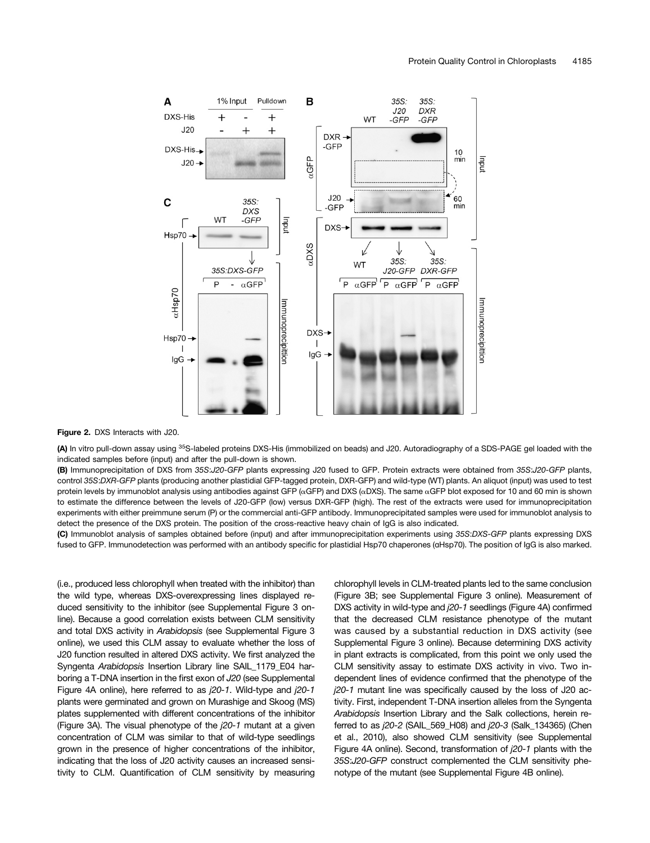

#### Figure 2. DXS Interacts with J20.

(A) In vitro pull-down assay using <sup>35</sup>S-labeled proteins DXS-His (immobilized on beads) and J20. Autoradiography of a SDS-PAGE gel loaded with the indicated samples before (input) and after the pull-down is shown.

(B) Immunoprecipitation of DXS from 35S:J20-GFP plants expressing J20 fused to GFP. Protein extracts were obtained from 35S:J20-GFP plants, control 35S:DXR-GFP plants (producing another plastidial GFP-tagged protein, DXR-GFP) and wild-type (WT) plants. An aliquot (input) was used to test protein levels by immunoblot analysis using antibodies against GFP ( $\alpha$ GFP) and DXS ( $\alpha$ DXS). The same  $\alpha$ GFP blot exposed for 10 and 60 min is shown to estimate the difference between the levels of J20-GFP (low) versus DXR-GFP (high). The rest of the extracts were used for immunoprecipitation experiments with either preimmune serum (P) or the commercial anti-GFP antibody. Immunoprecipitated samples were used for immunoblot analysis to detect the presence of the DXS protein. The position of the cross-reactive heavy chain of IgG is also indicated.

(C) Immunoblot analysis of samples obtained before (input) and after immunoprecipitation experiments using 35S:DXS-GFP plants expressing DXS fused to GFP. Immunodetection was performed with an antibody specific for plastidial Hsp70 chaperones (ɑHsp70). The position of IgG is also marked.

(i.e., produced less chlorophyll when treated with the inhibitor) than the wild type, whereas DXS-overexpressing lines displayed reduced sensitivity to the inhibitor (see [Supplemental Figure 3](http://www.plantcell.org/cgi/content/full/tpc.113.113001/DC1) online). Because a good correlation exists between CLM sensitivity and total DXS activity in Arabidopsis (see [Supplemental Figure 3](http://www.plantcell.org/cgi/content/full/tpc.113.113001/DC1) online), we used this CLM assay to evaluate whether the loss of J20 function resulted in altered DXS activity. We first analyzed the Syngenta Arabidopsis Insertion Library line SAIL 1179 E04 harboring a T-DNA insertion in the first exon of J20 (see [Supplemental](http://www.plantcell.org/cgi/content/full/tpc.113.113001/DC1) [Figure 4A](http://www.plantcell.org/cgi/content/full/tpc.113.113001/DC1) online), here referred to as j20-1. Wild-type and j20-1 plants were germinated and grown on Murashige and Skoog (MS) plates supplemented with different concentrations of the inhibitor (Figure 3A). The visual phenotype of the j20-1 mutant at a given concentration of CLM was similar to that of wild-type seedlings grown in the presence of higher concentrations of the inhibitor, indicating that the loss of J20 activity causes an increased sensitivity to CLM. Quantification of CLM sensitivity by measuring chlorophyll levels in CLM-treated plants led to the same conclusion (Figure 3B; see [Supplemental Figure 3](http://www.plantcell.org/cgi/content/full/tpc.113.113001/DC1) online). Measurement of DXS activity in wild-type and j20-1 seedlings (Figure 4A) confirmed that the decreased CLM resistance phenotype of the mutant was caused by a substantial reduction in DXS activity (see [Supplemental Figure 3](http://www.plantcell.org/cgi/content/full/tpc.113.113001/DC1) online). Because determining DXS activity in plant extracts is complicated, from this point we only used the CLM sensitivity assay to estimate DXS activity in vivo. Two independent lines of evidence confirmed that the phenotype of the j20-1 mutant line was specifically caused by the loss of J20 activity. First, independent T-DNA insertion alleles from the Syngenta Arabidopsis Insertion Library and the Salk collections, herein referred to as j20-2 (SAIL\_569\_H08) and j20-3 (Salk\_134365) (Chen et al., 2010), also showed CLM sensitivity (see [Supplemental](http://www.plantcell.org/cgi/content/full/tpc.113.113001/DC1) [Figure 4A](http://www.plantcell.org/cgi/content/full/tpc.113.113001/DC1) online). Second, transformation of j20-1 plants with the 35S:J20-GFP construct complemented the CLM sensitivity phenotype of the mutant (see [Supplemental Figure 4B](http://www.plantcell.org/cgi/content/full/tpc.113.113001/DC1) online).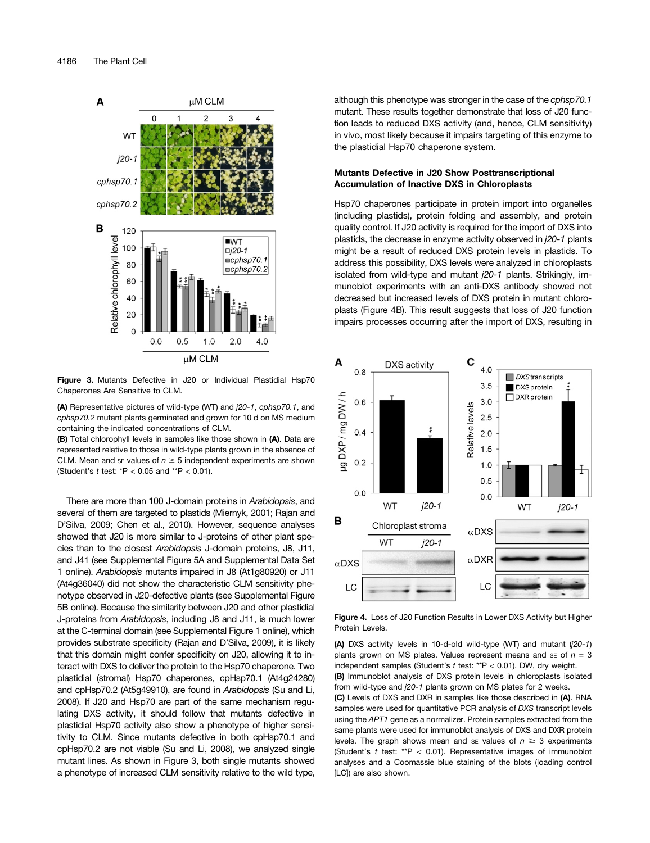

Figure 3. Mutants Defective in J20 or Individual Plastidial Hsp70 Chaperones Are Sensitive to CLM.

(A) Representative pictures of wild-type (WT) and j20-1, cphsp70.1, and cphsp70.2 mutant plants germinated and grown for 10 d on MS medium containing the indicated concentrations of CLM.

(B) Total chlorophyll levels in samples like those shown in (A). Data are represented relative to those in wild-type plants grown in the absence of CLM. Mean and se values of  $n \geq 5$  independent experiments are shown (Student's  $t$  test:  $*P < 0.05$  and  $*P < 0.01$ ).

There are more than 100 J-domain proteins in Arabidopsis, and several of them are targeted to plastids (Miernyk, 2001; Rajan and D'Silva, 2009; Chen et al., 2010). However, sequence analyses showed that J20 is more similar to J-proteins of other plant species than to the closest Arabidopsis J-domain proteins, J8, J11, and J41 (see [Supplemental Figure 5A](http://www.plantcell.org/cgi/content/full/tpc.113.113001/DC1) and [Supplemental Data Set](http://www.plantcell.org/cgi/content/full/tpc.113.113001/DC1) [1](http://www.plantcell.org/cgi/content/full/tpc.113.113001/DC1) online). Arabidopsis mutants impaired in J8 (At1g80920) or J11 (At4g36040) did not show the characteristic CLM sensitivity phenotype observed in J20-defective plants (see [Supplemental Figure](http://www.plantcell.org/cgi/content/full/tpc.113.113001/DC1) [5B](http://www.plantcell.org/cgi/content/full/tpc.113.113001/DC1) online). Because the similarity between J20 and other plastidial J-proteins from Arabidopsis, including J8 and J11, is much lower at the C-terminal domain (see [Supplemental Figure 1](http://www.plantcell.org/cgi/content/full/tpc.113.113001/DC1) online), which provides substrate specificity (Rajan and D'Silva, 2009), it is likely that this domain might confer specificity on J20, allowing it to interact with DXS to deliver the protein to the Hsp70 chaperone. Two plastidial (stromal) Hsp70 chaperones, cpHsp70.1 (At4g24280) and cpHsp70.2 (At5g49910), are found in Arabidopsis (Su and Li, 2008). If J20 and Hsp70 are part of the same mechanism regulating DXS activity, it should follow that mutants defective in plastidial Hsp70 activity also show a phenotype of higher sensitivity to CLM. Since mutants defective in both cpHsp70.1 and cpHsp70.2 are not viable (Su and Li, 2008), we analyzed single mutant lines. As shown in Figure 3, both single mutants showed a phenotype of increased CLM sensitivity relative to the wild type, although this phenotype was stronger in the case of the cphsp70.1 mutant. These results together demonstrate that loss of J20 function leads to reduced DXS activity (and, hence, CLM sensitivity) in vivo, most likely because it impairs targeting of this enzyme to the plastidial Hsp70 chaperone system.

## Mutants Defective in J20 Show Posttranscriptional Accumulation of Inactive DXS in Chloroplasts

Hsp70 chaperones participate in protein import into organelles (including plastids), protein folding and assembly, and protein quality control. If J20 activity is required for the import of DXS into plastids, the decrease in enzyme activity observed in j20-1 plants might be a result of reduced DXS protein levels in plastids. To address this possibility, DXS levels were analyzed in chloroplasts isolated from wild-type and mutant j20-1 plants. Strikingly, immunoblot experiments with an anti-DXS antibody showed not decreased but increased levels of DXS protein in mutant chloroplasts (Figure 4B). This result suggests that loss of J20 function impairs processes occurring after the import of DXS, resulting in



Figure 4. Loss of J20 Function Results in Lower DXS Activity but Higher Protein Levels.

(A) DXS activity levels in 10-d-old wild-type (WT) and mutant  $(j20-1)$ plants grown on MS plates. Values represent means and se of  $n = 3$ independent samples (Student's t test: \*\*P < 0.01). DW, dry weight. (B) Immunoblot analysis of DXS protein levels in chloroplasts isolated from wild-type and j20-1 plants grown on MS plates for 2 weeks.

(C) Levels of DXS and DXR in samples like those described in (A). RNA samples were used for quantitative PCR analysis of DXS transcript levels using the APT1 gene as a normalizer. Protein samples extracted from the same plants were used for immunoblot analysis of DXS and DXR protein levels. The graph shows mean and se values of  $n \geq 3$  experiments (Student's  $t$  test: \*\* $P < 0.01$ ). Representative images of immunoblot analyses and a Coomassie blue staining of the blots (loading control [LC]) are also shown.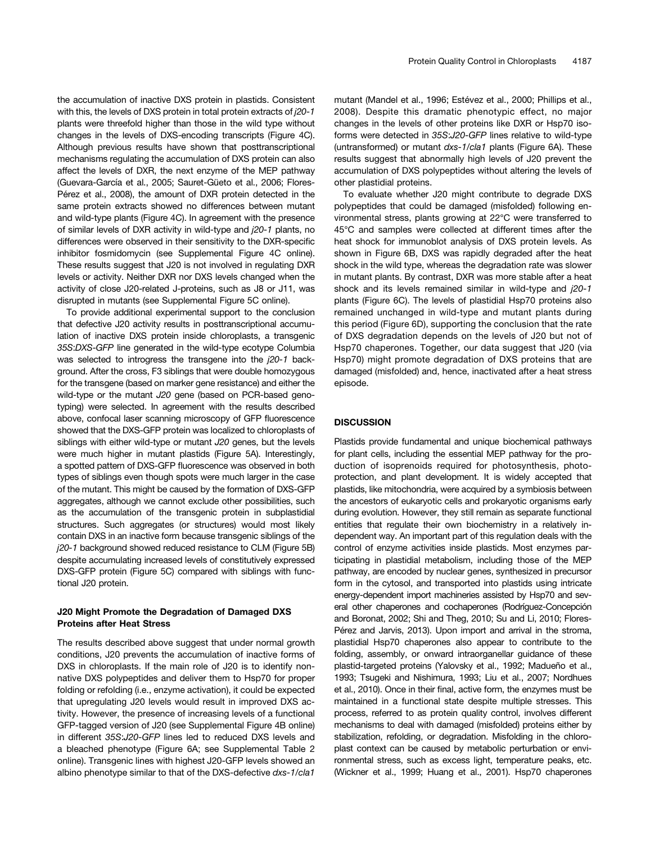the accumulation of inactive DXS protein in plastids. Consistent with this, the levels of DXS protein in total protein extracts of j20-1 plants were threefold higher than those in the wild type without changes in the levels of DXS-encoding transcripts (Figure 4C). Although previous results have shown that posttranscriptional mechanisms regulating the accumulation of DXS protein can also affect the levels of DXR, the next enzyme of the MEP pathway (Guevara-García et al., 2005; Sauret-Güeto et al., 2006; Flores-Pérez et al., 2008), the amount of DXR protein detected in the same protein extracts showed no differences between mutant and wild-type plants (Figure 4C). In agreement with the presence of similar levels of DXR activity in wild-type and j20-1 plants, no differences were observed in their sensitivity to the DXR-specific inhibitor fosmidomycin (see [Supplemental Figure 4C](http://www.plantcell.org/cgi/content/full/tpc.113.113001/DC1) online). These results suggest that J20 is not involved in regulating DXR levels or activity. Neither DXR nor DXS levels changed when the activity of close J20-related J-proteins, such as J8 or J11, was disrupted in mutants (see [Supplemental Figure 5C](http://www.plantcell.org/cgi/content/full/tpc.113.113001/DC1) online).

To provide additional experimental support to the conclusion that defective J20 activity results in posttranscriptional accumulation of inactive DXS protein inside chloroplasts, a transgenic 35S:DXS-GFP line generated in the wild-type ecotype Columbia was selected to introgress the transgene into the  $j20-1$  background. After the cross, F3 siblings that were double homozygous for the transgene (based on marker gene resistance) and either the wild-type or the mutant J20 gene (based on PCR-based genotyping) were selected. In agreement with the results described above, confocal laser scanning microscopy of GFP fluorescence showed that the DXS-GFP protein was localized to chloroplasts of siblings with either wild-type or mutant J20 genes, but the levels were much higher in mutant plastids (Figure 5A). Interestingly, a spotted pattern of DXS-GFP fluorescence was observed in both types of siblings even though spots were much larger in the case of the mutant. This might be caused by the formation of DXS-GFP aggregates, although we cannot exclude other possibilities, such as the accumulation of the transgenic protein in subplastidial structures. Such aggregates (or structures) would most likely contain DXS in an inactive form because transgenic siblings of the j20-1 background showed reduced resistance to CLM (Figure 5B) despite accumulating increased levels of constitutively expressed DXS-GFP protein (Figure 5C) compared with siblings with functional J20 protein.

## J20 Might Promote the Degradation of Damaged DXS Proteins after Heat Stress

The results described above suggest that under normal growth conditions, J20 prevents the accumulation of inactive forms of DXS in chloroplasts. If the main role of J20 is to identify nonnative DXS polypeptides and deliver them to Hsp70 for proper folding or refolding (i.e., enzyme activation), it could be expected that upregulating J20 levels would result in improved DXS activity. However, the presence of increasing levels of a functional GFP-tagged version of J20 (see [Supplemental Figure 4B](http://www.plantcell.org/cgi/content/full/tpc.113.113001/DC1) online) in different 35S:J20-GFP lines led to reduced DXS levels and a bleached phenotype (Figure 6A; see [Supplemental Table 2](http://www.plantcell.org/cgi/content/full/tpc.113.113001/DC1) online). Transgenic lines with highest J20-GFP levels showed an albino phenotype similar to that of the DXS-defective dxs-1/cla1

mutant (Mandel et al., 1996; Estévez et al., 2000; Phillips et al., 2008). Despite this dramatic phenotypic effect, no major changes in the levels of other proteins like DXR or Hsp70 isoforms were detected in 35S:J20-GFP lines relative to wild-type (untransformed) or mutant dxs-1/cla1 plants (Figure 6A). These results suggest that abnormally high levels of J20 prevent the accumulation of DXS polypeptides without altering the levels of other plastidial proteins.

To evaluate whether J20 might contribute to degrade DXS polypeptides that could be damaged (misfolded) following environmental stress, plants growing at 22°C were transferred to 45°C and samples were collected at different times after the heat shock for immunoblot analysis of DXS protein levels. As shown in Figure 6B, DXS was rapidly degraded after the heat shock in the wild type, whereas the degradation rate was slower in mutant plants. By contrast, DXR was more stable after a heat shock and its levels remained similar in wild-type and j20-1 plants (Figure 6C). The levels of plastidial Hsp70 proteins also remained unchanged in wild-type and mutant plants during this period (Figure 6D), supporting the conclusion that the rate of DXS degradation depends on the levels of J20 but not of Hsp70 chaperones. Together, our data suggest that J20 (via Hsp70) might promote degradation of DXS proteins that are damaged (misfolded) and, hence, inactivated after a heat stress episode.

### **DISCUSSION**

Plastids provide fundamental and unique biochemical pathways for plant cells, including the essential MEP pathway for the production of isoprenoids required for photosynthesis, photoprotection, and plant development. It is widely accepted that plastids, like mitochondria, were acquired by a symbiosis between the ancestors of eukaryotic cells and prokaryotic organisms early during evolution. However, they still remain as separate functional entities that regulate their own biochemistry in a relatively independent way. An important part of this regulation deals with the control of enzyme activities inside plastids. Most enzymes participating in plastidial metabolism, including those of the MEP pathway, are encoded by nuclear genes, synthesized in precursor form in the cytosol, and transported into plastids using intricate energy-dependent import machineries assisted by Hsp70 and several other chaperones and cochaperones (Rodríguez-Concepción and Boronat, 2002; Shi and Theg, 2010; Su and Li, 2010; Flores-Pérez and Jarvis, 2013). Upon import and arrival in the stroma, plastidial Hsp70 chaperones also appear to contribute to the folding, assembly, or onward intraorganellar guidance of these plastid-targeted proteins (Yalovsky et al., 1992; Madueño et al., 1993; Tsugeki and Nishimura, 1993; Liu et al., 2007; Nordhues et al., 2010). Once in their final, active form, the enzymes must be maintained in a functional state despite multiple stresses. This process, referred to as protein quality control, involves different mechanisms to deal with damaged (misfolded) proteins either by stabilization, refolding, or degradation. Misfolding in the chloroplast context can be caused by metabolic perturbation or environmental stress, such as excess light, temperature peaks, etc. (Wickner et al., 1999; Huang et al., 2001). Hsp70 chaperones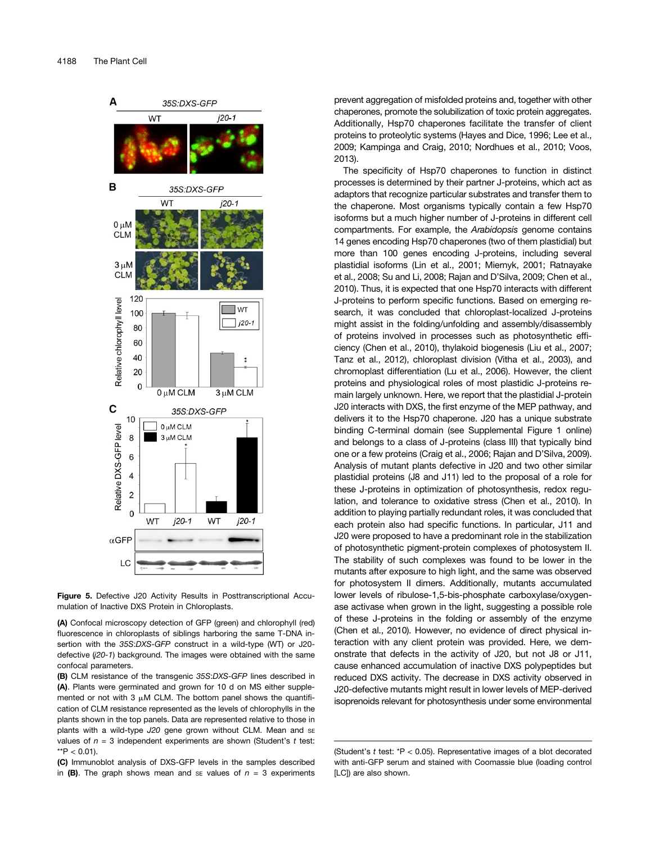

Figure 5. Defective J20 Activity Results in Posttranscriptional Accumulation of Inactive DXS Protein in Chloroplasts.

(A) Confocal microscopy detection of GFP (green) and chlorophyll (red) fluorescence in chloroplasts of siblings harboring the same T-DNA insertion with the 35S:DXS-GFP construct in a wild-type (WT) or J20 defective (j20-1) background. The images were obtained with the same confocal parameters.

(B) CLM resistance of the transgenic 35S:DXS-GFP lines described in (A). Plants were germinated and grown for 10 d on MS either supplemented or not with 3  $\mu$ M CLM. The bottom panel shows the quantification of CLM resistance represented as the levels of chlorophylls in the plants shown in the top panels. Data are represented relative to those in plants with a wild-type J20 gene grown without CLM. Mean and se values of  $n = 3$  independent experiments are shown (Student's t test: \*\* $P < 0.01$ ).

(C) Immunoblot analysis of DXS-GFP levels in the samples described in (B). The graph shows mean and se values of  $n = 3$  experiments prevent aggregation of misfolded proteins and, together with other chaperones, promote the solubilization of toxic protein aggregates. Additionally, Hsp70 chaperones facilitate the transfer of client proteins to proteolytic systems (Hayes and Dice, 1996; Lee et al., 2009; Kampinga and Craig, 2010; Nordhues et al., 2010; Voos, 2013).

The specificity of Hsp70 chaperones to function in distinct processes is determined by their partner J-proteins, which act as adaptors that recognize particular substrates and transfer them to the chaperone. Most organisms typically contain a few Hsp70 isoforms but a much higher number of J-proteins in different cell compartments. For example, the Arabidopsis genome contains 14 genes encoding Hsp70 chaperones (two of them plastidial) but more than 100 genes encoding J-proteins, including several plastidial isoforms (Lin et al., 2001; Miernyk, 2001; Ratnayake et al., 2008; Su and Li, 2008; Rajan and D'Silva, 2009; Chen et al., 2010). Thus, it is expected that one Hsp70 interacts with different J-proteins to perform specific functions. Based on emerging research, it was concluded that chloroplast-localized J-proteins might assist in the folding/unfolding and assembly/disassembly of proteins involved in processes such as photosynthetic efficiency (Chen et al., 2010), thylakoid biogenesis (Liu et al., 2007; Tanz et al., 2012), chloroplast division (Vitha et al., 2003), and chromoplast differentiation (Lu et al., 2006). However, the client proteins and physiological roles of most plastidic J-proteins remain largely unknown. Here, we report that the plastidial J-protein J20 interacts with DXS, the first enzyme of the MEP pathway, and delivers it to the Hsp70 chaperone. J20 has a unique substrate binding C-terminal domain (see [Supplemental Figure 1](http://www.plantcell.org/cgi/content/full/tpc.113.113001/DC1) online) and belongs to a class of J-proteins (class III) that typically bind one or a few proteins (Craig et al., 2006; Rajan and D'Silva, 2009). Analysis of mutant plants defective in J20 and two other similar plastidial proteins (J8 and J11) led to the proposal of a role for these J-proteins in optimization of photosynthesis, redox regulation, and tolerance to oxidative stress (Chen et al., 2010). In addition to playing partially redundant roles, it was concluded that each protein also had specific functions. In particular, J11 and J20 were proposed to have a predominant role in the stabilization of photosynthetic pigment-protein complexes of photosystem II. The stability of such complexes was found to be lower in the mutants after exposure to high light, and the same was observed for photosystem II dimers. Additionally, mutants accumulated lower levels of ribulose-1,5-bis-phosphate carboxylase/oxygenase activase when grown in the light, suggesting a possible role of these J-proteins in the folding or assembly of the enzyme (Chen et al., 2010). However, no evidence of direct physical interaction with any client protein was provided. Here, we demonstrate that defects in the activity of J20, but not J8 or J11, cause enhanced accumulation of inactive DXS polypeptides but reduced DXS activity. The decrease in DXS activity observed in J20-defective mutants might result in lower levels of MEP-derived isoprenoids relevant for photosynthesis under some environmental

<sup>(</sup>Student's t test: \*P < 0.05). Representative images of a blot decorated with anti-GFP serum and stained with Coomassie blue (loading control [LC]) are also shown.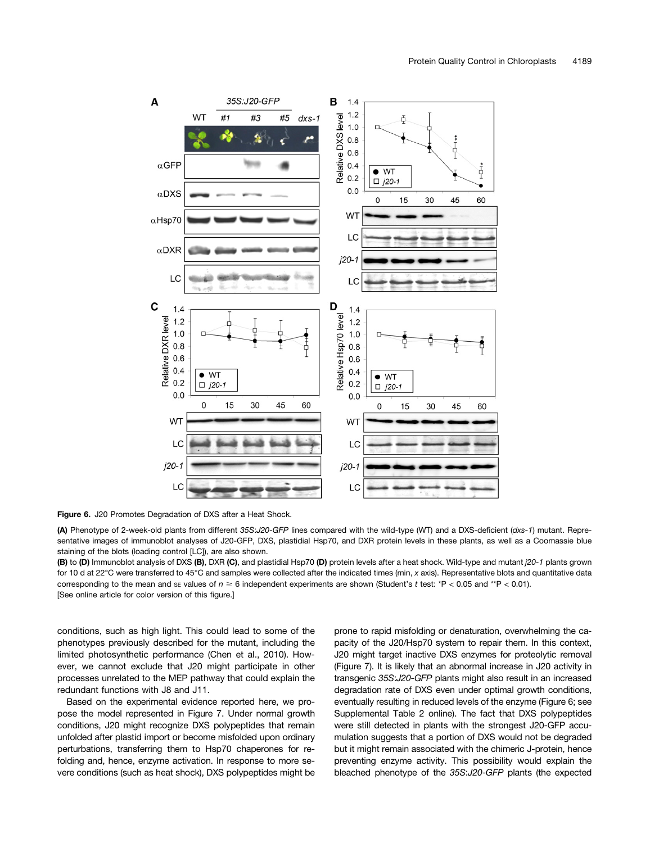

Figure 6. J20 Promotes Degradation of DXS after a Heat Shock.

(A) Phenotype of 2-week-old plants from different 35S:J20-GFP lines compared with the wild-type (WT) and a DXS-deficient (dxs-1) mutant. Representative images of immunoblot analyses of J20-GFP, DXS, plastidial Hsp70, and DXR protein levels in these plants, as well as a Coomassie blue staining of the blots (loading control [LC]), are also shown.

(B) to (D) Immunoblot analysis of DXS (B), DXR (C), and plastidial Hsp70 (D) protein levels after a heat shock. Wild-type and mutant  $i20-1$  plants grown for 10 d at 22°C were transferred to 45°C and samples were collected after the indicated times (min, x axis). Representative blots and quantitative data corresponding to the mean and se values of  $n \ge 6$  independent experiments are shown (Student's t test: \*P < 0.05 and \*\*P < 0.01). [See online article for color version of this figure.]

conditions, such as high light. This could lead to some of the phenotypes previously described for the mutant, including the limited photosynthetic performance (Chen et al., 2010). However, we cannot exclude that J20 might participate in other processes unrelated to the MEP pathway that could explain the redundant functions with J8 and J11.

Based on the experimental evidence reported here, we propose the model represented in Figure 7. Under normal growth conditions, J20 might recognize DXS polypeptides that remain unfolded after plastid import or become misfolded upon ordinary perturbations, transferring them to Hsp70 chaperones for refolding and, hence, enzyme activation. In response to more severe conditions (such as heat shock), DXS polypeptides might be prone to rapid misfolding or denaturation, overwhelming the capacity of the J20/Hsp70 system to repair them. In this context, J20 might target inactive DXS enzymes for proteolytic removal (Figure 7). It is likely that an abnormal increase in J20 activity in transgenic 35S:J20-GFP plants might also result in an increased degradation rate of DXS even under optimal growth conditions, eventually resulting in reduced levels of the enzyme (Figure 6; see [Supplemental Table 2](http://www.plantcell.org/cgi/content/full/tpc.113.113001/DC1) online). The fact that DXS polypeptides were still detected in plants with the strongest J20-GFP accumulation suggests that a portion of DXS would not be degraded but it might remain associated with the chimeric J-protein, hence preventing enzyme activity. This possibility would explain the bleached phenotype of the 35S:J20-GFP plants (the expected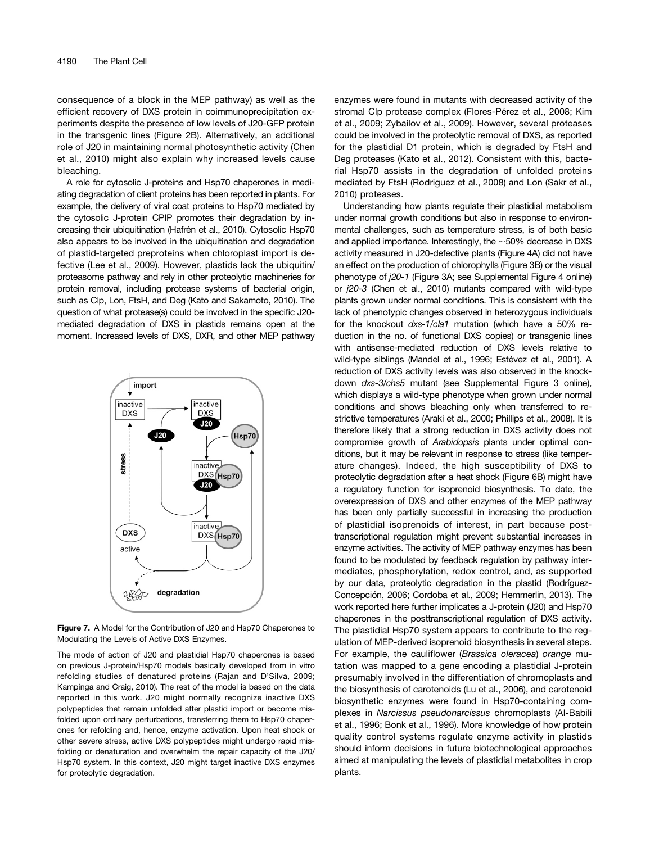consequence of a block in the MEP pathway) as well as the efficient recovery of DXS protein in coimmunoprecipitation experiments despite the presence of low levels of J20-GFP protein in the transgenic lines (Figure 2B). Alternatively, an additional role of J20 in maintaining normal photosynthetic activity (Chen et al., 2010) might also explain why increased levels cause bleaching.

A role for cytosolic J-proteins and Hsp70 chaperones in mediating degradation of client proteins has been reported in plants. For example, the delivery of viral coat proteins to Hsp70 mediated by the cytosolic J-protein CPIP promotes their degradation by increasing their ubiquitination (Hafrén et al., 2010). Cytosolic Hsp70 also appears to be involved in the ubiquitination and degradation of plastid-targeted preproteins when chloroplast import is defective (Lee et al., 2009). However, plastids lack the ubiquitin/ proteasome pathway and rely in other proteolytic machineries for protein removal, including protease systems of bacterial origin, such as Clp, Lon, FtsH, and Deg (Kato and Sakamoto, 2010). The question of what protease(s) could be involved in the specific J20 mediated degradation of DXS in plastids remains open at the moment. Increased levels of DXS, DXR, and other MEP pathway



Figure 7. A Model for the Contribution of J20 and Hsp70 Chaperones to Modulating the Levels of Active DXS Enzymes.

The mode of action of J20 and plastidial Hsp70 chaperones is based on previous J-protein/Hsp70 models basically developed from in vitro refolding studies of denatured proteins (Rajan and D'Silva, 2009; Kampinga and Craig, 2010). The rest of the model is based on the data reported in this work. J20 might normally recognize inactive DXS polypeptides that remain unfolded after plastid import or become misfolded upon ordinary perturbations, transferring them to Hsp70 chaperones for refolding and, hence, enzyme activation. Upon heat shock or other severe stress, active DXS polypeptides might undergo rapid misfolding or denaturation and overwhelm the repair capacity of the J20/ Hsp70 system. In this context, J20 might target inactive DXS enzymes for proteolytic degradation.

enzymes were found in mutants with decreased activity of the stromal Clp protease complex (Flores-Pérez et al., 2008; Kim et al., 2009; Zybailov et al., 2009). However, several proteases could be involved in the proteolytic removal of DXS, as reported for the plastidial D1 protein, which is degraded by FtsH and Deg proteases (Kato et al., 2012). Consistent with this, bacterial Hsp70 assists in the degradation of unfolded proteins mediated by FtsH (Rodriguez et al., 2008) and Lon (Sakr et al., 2010) proteases.

Understanding how plants regulate their plastidial metabolism under normal growth conditions but also in response to environmental challenges, such as temperature stress, is of both basic and applied importance. Interestingly, the  $\sim$ 50% decrease in DXS activity measured in J20-defective plants (Figure 4A) did not have an effect on the production of chlorophylls (Figure 3B) or the visual phenotype of j20-1 (Figure 3A; see [Supplemental Figure 4](http://www.plantcell.org/cgi/content/full/tpc.113.113001/DC1) online) or j20-3 (Chen et al., 2010) mutants compared with wild-type plants grown under normal conditions. This is consistent with the lack of phenotypic changes observed in heterozygous individuals for the knockout dxs-1/cla1 mutation (which have a 50% reduction in the no. of functional DXS copies) or transgenic lines with antisense-mediated reduction of DXS levels relative to wild-type siblings (Mandel et al., 1996; Estévez et al., 2001). A reduction of DXS activity levels was also observed in the knockdown dxs-3/chs5 mutant (see [Supplemental Figure 3](http://www.plantcell.org/cgi/content/full/tpc.113.113001/DC1) online), which displays a wild-type phenotype when grown under normal conditions and shows bleaching only when transferred to restrictive temperatures (Araki et al., 2000; Phillips et al., 2008). It is therefore likely that a strong reduction in DXS activity does not compromise growth of Arabidopsis plants under optimal conditions, but it may be relevant in response to stress (like temperature changes). Indeed, the high susceptibility of DXS to proteolytic degradation after a heat shock (Figure 6B) might have a regulatory function for isoprenoid biosynthesis. To date, the overexpression of DXS and other enzymes of the MEP pathway has been only partially successful in increasing the production of plastidial isoprenoids of interest, in part because posttranscriptional regulation might prevent substantial increases in enzyme activities. The activity of MEP pathway enzymes has been found to be modulated by feedback regulation by pathway intermediates, phosphorylation, redox control, and, as supported by our data, proteolytic degradation in the plastid (Rodríguez-Concepción, 2006; Cordoba et al., 2009; Hemmerlin, 2013). The work reported here further implicates a J-protein (J20) and Hsp70 chaperones in the posttranscriptional regulation of DXS activity. The plastidial Hsp70 system appears to contribute to the regulation of MEP-derived isoprenoid biosynthesis in several steps. For example, the cauliflower (Brassica oleracea) orange mutation was mapped to a gene encoding a plastidial J-protein presumably involved in the differentiation of chromoplasts and the biosynthesis of carotenoids (Lu et al., 2006), and carotenoid biosynthetic enzymes were found in Hsp70-containing complexes in Narcissus pseudonarcissus chromoplasts (Al-Babili et al., 1996; Bonk et al., 1996). More knowledge of how protein quality control systems regulate enzyme activity in plastids should inform decisions in future biotechnological approaches aimed at manipulating the levels of plastidial metabolites in crop plants.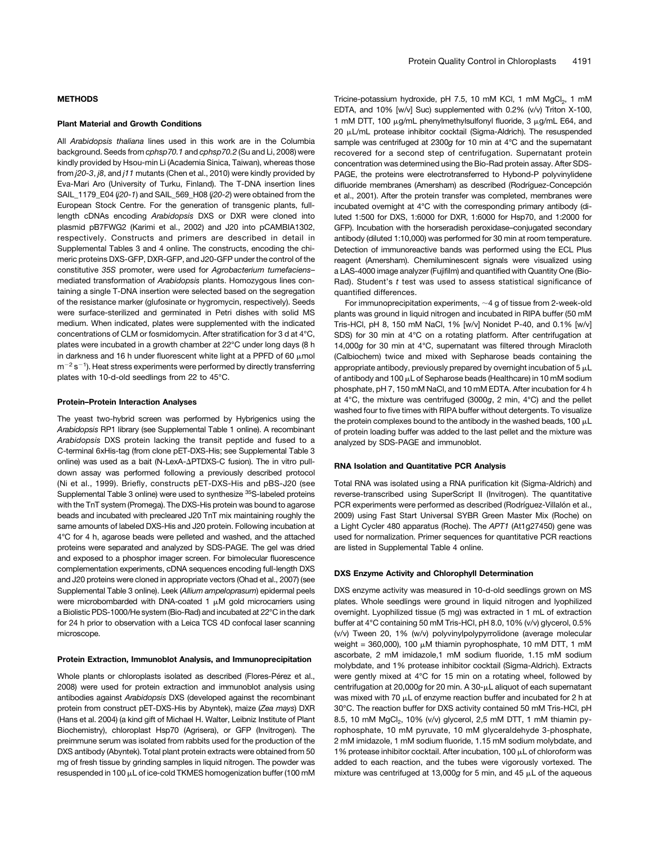#### **METHODS**

#### Plant Material and Growth Conditions

All Arabidopsis thaliana lines used in this work are in the Columbia background. Seeds from cphsp70.1 and cphsp70.2 (Su and Li, 2008) were kindly provided by Hsou-min Li (Academia Sinica, Taiwan), whereas those from j20-3, j8, and j11 mutants (Chen et al., 2010) were kindly provided by Eva-Mari Aro (University of Turku, Finland). The T-DNA insertion lines SAIL\_1179\_E04 (j20-1) and SAIL\_569\_H08 (j20-2) were obtained from the European Stock Centre. For the generation of transgenic plants, fulllength cDNAs encoding Arabidopsis DXS or DXR were cloned into plasmid pB7FWG2 (Karimi et al., 2002) and J20 into pCAMBIA1302, respectively. Constructs and primers are described in detail in [Supplemental Tables 3 and 4](http://www.plantcell.org/cgi/content/full/tpc.113.113001/DC1) online. The constructs, encoding the chimeric proteins DXS-GFP, DXR-GFP, and J20-GFP under the control of the constitutive 35S promoter, were used for Agrobacterium tumefaciens– mediated transformation of Arabidopsis plants. Homozygous lines containing a single T-DNA insertion were selected based on the segregation of the resistance marker (glufosinate or hygromycin, respectively). Seeds were surface-sterilized and germinated in Petri dishes with solid MS medium. When indicated, plates were supplemented with the indicated concentrations of CLM or fosmidomycin. After stratification for 3 d at 4°C, plates were incubated in a growth chamber at 22°C under long days (8 h in darkness and 16 h under fluorescent white light at a PPFD of 60  $\mu$ mol  $m^{-2}$  s<sup>-1</sup>). Heat stress experiments were performed by directly transferring plates with 10-d-old seedlings from 22 to 45°C.

#### Protein–Protein Interaction Analyses

The yeast two-hybrid screen was performed by Hybrigenics using the Arabidopsis RP1 library (see [Supplemental Table 1](http://www.plantcell.org/cgi/content/full/tpc.113.113001/DC1) online). A recombinant Arabidopsis DXS protein lacking the transit peptide and fused to a C-terminal 6xHis-tag (from clone pET-DXS-His; see [Supplemental Table 3](http://www.plantcell.org/cgi/content/full/tpc.113.113001/DC1) online) was used as a bait (N-LexA- $\Delta$ PTDXS-C fusion). The in vitro pulldown assay was performed following a previously described protocol (Ni et al., 1999). Briefly, constructs pET-DXS-His and pBS-J20 (see [Supplemental Table 3](http://www.plantcell.org/cgi/content/full/tpc.113.113001/DC1) online) were used to synthesize <sup>35</sup>S-labeled proteins with the TnT system (Promega). The DXS-His protein was bound to agarose beads and incubated with precleared J20 TnT mix maintaining roughly the same amounts of labeled DXS-His and J20 protein. Following incubation at 4°C for 4 h, agarose beads were pelleted and washed, and the attached proteins were separated and analyzed by SDS-PAGE. The gel was dried and exposed to a phosphor imager screen. For bimolecular fluorescence complementation experiments, cDNA sequences encoding full-length DXS and J20 proteins were cloned in appropriate vectors (Ohad et al., 2007) (see [Supplemental Table 3](http://www.plantcell.org/cgi/content/full/tpc.113.113001/DC1) online). Leek (Allium ampeloprasum) epidermal peels were microbombarded with DNA-coated 1  $\mu$ M gold microcarriers using a Biolistic PDS-1000/He system (Bio-Rad) and incubated at 22°C in the dark for 24 h prior to observation with a Leica TCS 4D confocal laser scanning microscope.

#### Protein Extraction, Immunoblot Analysis, and Immunoprecipitation

Whole plants or chloroplasts isolated as described (Flores-Pérez et al., 2008) were used for protein extraction and immunoblot analysis using antibodies against Arabidopsis DXS (developed against the recombinant protein from construct pET-DXS-His by Abyntek), maize (Zea mays) DXR (Hans et al. 2004) (a kind gift of Michael H. Walter, Leibniz Institute of Plant Biochemistry), chloroplast Hsp70 (Agrisera), or GFP (Invitrogen). The preimmune serum was isolated from rabbits used for the production of the DXS antibody (Abyntek). Total plant protein extracts were obtained from 50 mg of fresh tissue by grinding samples in liquid nitrogen. The powder was resuspended in 100  $\mu$ L of ice-cold TKMES homogenization buffer (100 mM Tricine-potassium hydroxide, pH 7.5, 10 mM KCl, 1 mM MgCl<sub>2</sub>, 1 mM EDTA, and 10% [w/v] Suc) supplemented with 0.2% (v/v) Triton X-100, 1 mM DTT, 100  $\mu$ g/mL phenylmethylsulfonyl fluoride, 3  $\mu$ g/mL E64, and 20 µL/mL protease inhibitor cocktail (Sigma-Aldrich). The resuspended sample was centrifuged at 2300g for 10 min at 4°C and the supernatant recovered for a second step of centrifugation. Supernatant protein concentration was determined using the Bio-Rad protein assay. After SDS-PAGE, the proteins were electrotransferred to Hybond-P polyvinylidene difluoride membranes (Amersham) as described (Rodríguez-Concepción et al., 2001). After the protein transfer was completed, membranes were incubated overnight at 4°C with the corresponding primary antibody (diluted 1:500 for DXS, 1:6000 for DXR, 1:6000 for Hsp70, and 1:2000 for GFP). Incubation with the horseradish peroxidase–conjugated secondary antibody (diluted 1:10,000) was performed for 30 min at room temperature. Detection of immunoreactive bands was performed using the ECL Plus reagent (Amersham). Chemiluminescent signals were visualized using a LAS-4000 image analyzer (Fujifilm) and quantified with Quantity One (Bio-Rad). Student's t test was used to assess statistical significance of quantified differences.

For immunoprecipitation experiments,  $\sim$  4 g of tissue from 2-week-old plants was ground in liquid nitrogen and incubated in RIPA buffer (50 mM Tris-HCl, pH 8, 150 mM NaCl, 1% [w/v] Nonidet P-40, and 0.1% [w/v] SDS) for 30 min at 4°C on a rotating platform. After centrifugation at 14,000g for 30 min at 4°C, supernatant was filtered through Miracloth (Calbiochem) twice and mixed with Sepharose beads containing the appropriate antibody, previously prepared by overnight incubation of 5  $\mu$ L of antibody and 100  $\mu$ L of Sepharose beads (Healthcare) in 10 mM sodium phosphate, pH 7, 150 mM NaCl, and 10 mM EDTA. After incubation for 4 h at 4°C, the mixture was centrifuged (3000g, 2 min, 4°C) and the pellet washed four to five times with RIPA buffer without detergents. To visualize the protein complexes bound to the antibody in the washed beads, 100  $\mu$ L of protein loading buffer was added to the last pellet and the mixture was analyzed by SDS-PAGE and immunoblot.

#### RNA Isolation and Quantitative PCR Analysis

Total RNA was isolated using a RNA purification kit (Sigma-Aldrich) and reverse-transcribed using SuperScript II (Invitrogen). The quantitative PCR experiments were performed as described (Rodríguez-Villalón et al., 2009) using Fast Start Universal SYBR Green Master Mix (Roche) on a Light Cycler 480 apparatus (Roche). The APT1 (At1g27450) gene was used for normalization. Primer sequences for quantitative PCR reactions are listed in [Supplemental Table 4](http://www.plantcell.org/cgi/content/full/tpc.113.113001/DC1) online.

#### DXS Enzyme Activity and Chlorophyll Determination

DXS enzyme activity was measured in 10-d-old seedlings grown on MS plates. Whole seedlings were ground in liquid nitrogen and lyophilized overnight. Lyophilized tissue (5 mg) was extracted in 1 mL of extraction buffer at 4°C containing 50 mM Tris-HCl, pH 8.0, 10% (v/v) glycerol, 0.5% (v/v) Tween 20, 1% (w/v) polyvinylpolypyrrolidone (average molecular weight = 360,000), 100  $\mu$ M thiamin pyrophosphate, 10 mM DTT, 1 mM ascorbate, 2 mM imidazole,1 mM sodium fluoride, 1.15 mM sodium molybdate, and 1% protease inhibitor cocktail (Sigma-Aldrich). Extracts were gently mixed at 4°C for 15 min on a rotating wheel, followed by centrifugation at 20,000g for 20 min. A 30- $\mu$ L aliquot of each supernatant was mixed with 70  $\mu$ L of enzyme reaction buffer and incubated for 2 h at 30°C. The reaction buffer for DXS activity contained 50 mM Tris-HCl, pH 8.5, 10 mM MgCl<sub>2</sub>, 10% (v/v) glycerol, 2,5 mM DTT, 1 mM thiamin pyrophosphate, 10 mM pyruvate, 10 mM glyceraldehyde 3-phosphate, 2 mM imidazole, 1 mM sodium fluoride, 1.15 mM sodium molybdate, and 1% protease inhibitor cocktail. After incubation, 100  $\mu$ L of chloroform was added to each reaction, and the tubes were vigorously vortexed. The mixture was centrifuged at 13,000g for 5 min, and 45  $\mu$ L of the aqueous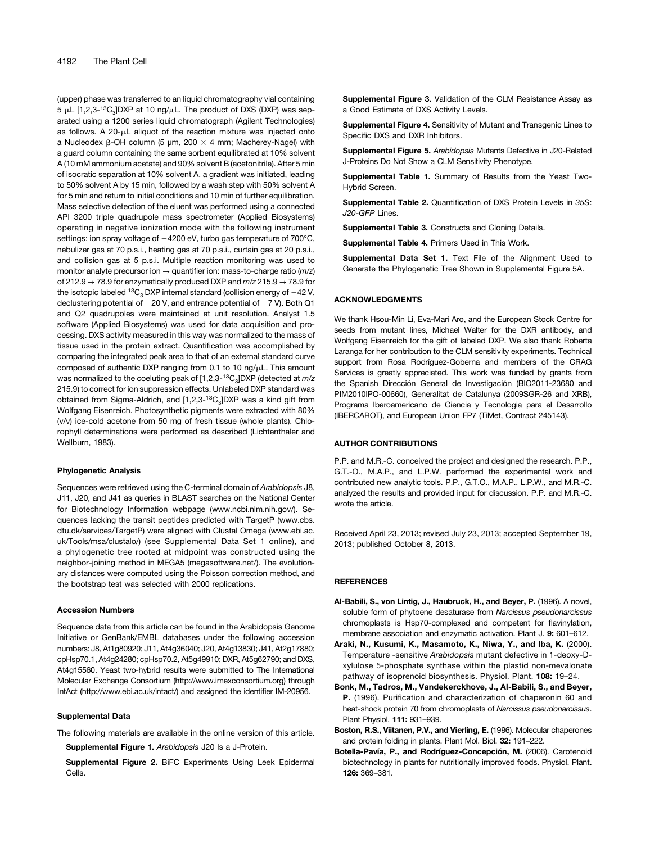(upper) phase was transferred to an liquid chromatography vial containing  $5 \mu L$  [1,2,3-<sup>13</sup>C<sub>3</sub>]DXP at 10 ng/ $\mu$ L. The product of DXS (DXP) was separated using a 1200 series liquid chromatograph (Agilent Technologies) as follows. A  $20$ - $\mu$ L aliquot of the reaction mixture was injected onto a Nucleodex  $\beta$ -OH column (5 µm, 200  $\times$  4 mm; Macherey-Nagel) with a guard column containing the same sorbent equilibrated at 10% solvent A (10 mM ammonium acetate) and 90% solvent B (acetonitrile). After 5 min of isocratic separation at 10% solvent A, a gradient was initiated, leading to 50% solvent A by 15 min, followed by a wash step with 50% solvent A for 5 min and return to initial conditions and 10 min of further equilibration. Mass selective detection of the eluent was performed using a connected API 3200 triple quadrupole mass spectrometer (Applied Biosystems) operating in negative ionization mode with the following instrument settings: ion spray voltage of  $-4200$  eV, turbo gas temperature of 700 $^{\circ}$ C, nebulizer gas at 70 p.s.i., heating gas at 70 p.s.i., curtain gas at 20 p.s.i., and collision gas at 5 p.s.i. Multiple reaction monitoring was used to monitor analyte precursor ion  $\rightarrow$  quantifier ion: mass-to-charge ratio (m/z) of 212.9  $\rightarrow$  78.9 for enzymatically produced DXP and  $m/z$  215.9  $\rightarrow$  78.9 for the isotopic labeled  ${}^{13}C_3$  DXP internal standard (collision energy of  $-42$  V, declustering potential of  $-20$  V, and entrance potential of  $-7$  V). Both Q1 and Q2 quadrupoles were maintained at unit resolution. Analyst 1.5 software (Applied Biosystems) was used for data acquisition and processing. DXS activity measured in this way was normalized to the mass of tissue used in the protein extract. Quantification was accomplished by comparing the integrated peak area to that of an external standard curve composed of authentic DXP ranging from 0.1 to 10 ng/µL. This amount was normalized to the coeluting peak of  $[1,2,3^{-13}C_3]$ DXP (detected at  $m/z$ 215.9) to correct for ion suppression effects. Unlabeled DXP standard was obtained from Sigma-Aldrich, and  $[1,2,3^{-13}C_3]$ DXP was a kind gift from Wolfgang Eisenreich. Photosynthetic pigments were extracted with 80% (v/v) ice-cold acetone from 50 mg of fresh tissue (whole plants). Chlorophyll determinations were performed as described (Lichtenthaler and Wellburn, 1983).

#### Phylogenetic Analysis

Sequences were retrieved using the C-terminal domain of Arabidopsis J8, J11, J20, and J41 as queries in BLAST searches on the National Center for Biotechnology Information webpage ([www.ncbi.nlm.nih.gov](http://www.ncbi.nlm.nih.gov)/). Sequences lacking the transit peptides predicted with TargetP [\(www.cbs.](http://www.cbs.dtu.dk/services/TargetP) [dtu.dk/services/TargetP](http://www.cbs.dtu.dk/services/TargetP)) were aligned with Clustal Omega ([www.ebi.ac.](http://www.ebi.ac.uk/Tools/msa/clustalo/) [uk/Tools/msa/clustalo/\)](http://www.ebi.ac.uk/Tools/msa/clustalo/) (see [Supplemental Data Set 1](http://www.plantcell.org/cgi/content/full/tpc.113.113001/DC1) online), and a phylogenetic tree rooted at midpoint was constructed using the neighbor-joining method in MEGA5 (megasoftware.net/). The evolutionary distances were computed using the Poisson correction method, and the bootstrap test was selected with 2000 replications.

#### Accession Numbers

Sequence data from this article can be found in the Arabidopsis Genome Initiative or GenBank/EMBL databases under the following accession numbers: J8, At1g80920; J11, At4g36040; J20, At4g13830; J41, At2g17880; cpHsp70.1, At4g24280; cpHsp70.2, At5g49910; DXR, At5g62790; and DXS, At4g15560. Yeast two-hybrid results were submitted to The International Molecular Exchange Consortium (<http://www.imexconsortium.org>) through IntAct [\(http://www.ebi.ac.uk/intact/\)](http://www.ebi.ac.uk/intact/) and assigned the identifier IM-20956.

#### Supplemental Data

- The following materials are available in the online version of this article. [Supplemental Figure 1.](http://www.plantcell.org/cgi/content/full/tpc.113.113001/DC1) Arabidopsis J20 Is a J-Protein.
	- [Supplemental Figure 2.](http://www.plantcell.org/cgi/content/full/tpc.113.113001/DC1) BiFC Experiments Using Leek Epidermal Cells.

[Supplemental Figure 3.](http://www.plantcell.org/cgi/content/full/tpc.113.113001/DC1) Validation of the CLM Resistance Assay as a Good Estimate of DXS Activity Levels.

[Supplemental Figure 4.](http://www.plantcell.org/cgi/content/full/tpc.113.113001/DC1) Sensitivity of Mutant and Transgenic Lines to Specific DXS and DXR Inhibitors.

[Supplemental Figure 5.](http://www.plantcell.org/cgi/content/full/tpc.113.113001/DC1) Arabidopsis Mutants Defective in J20-Related J-Proteins Do Not Show a CLM Sensitivity Phenotype.

[Supplemental Table 1.](http://www.plantcell.org/cgi/content/full/tpc.113.113001/DC1) Summary of Results from the Yeast Two-Hybrid Screen.

[Supplemental Table 2.](http://www.plantcell.org/cgi/content/full/tpc.113.113001/DC1) Quantification of DXS Protein Levels in 35S: J20-GFP Lines.

[Supplemental Table 3.](http://www.plantcell.org/cgi/content/full/tpc.113.113001/DC1) Constructs and Cloning Details.

[Supplemental Table 4.](http://www.plantcell.org/cgi/content/full/tpc.113.113001/DC1) Primers Used in This Work.

[Supplemental Data Set 1.](http://www.plantcell.org/cgi/content/full/tpc.113.113001/DC1) Text File of the Alignment Used to Generate the Phylogenetic Tree Shown in [Supplemental Figure 5A](http://www.plantcell.org/cgi/content/full/tpc.113.113001/DC1).

#### ACKNOWLEDGMENTS

We thank Hsou-Min Li, Eva-Mari Aro, and the European Stock Centre for seeds from mutant lines, Michael Walter for the DXR antibody, and Wolfgang Eisenreich for the gift of labeled DXP. We also thank Roberta Laranga for her contribution to the CLM sensitivity experiments. Technical support from Rosa Rodríguez-Goberna and members of the CRAG Services is greatly appreciated. This work was funded by grants from the Spanish Dirección General de Investigación (BIO2011-23680 and PIM2010IPO-00660), Generalitat de Catalunya (2009SGR-26 and XRB), Programa Iberoamericano de Ciencia y Tecnologia para el Desarrollo (IBERCAROT), and European Union FP7 (TiMet, Contract 245143).

#### AUTHOR CONTRIBUTIONS

P.P. and M.R.-C. conceived the project and designed the research. P.P., G.T.-O., M.A.P., and L.P.W. performed the experimental work and contributed new analytic tools. P.P., G.T.O., M.A.P., L.P.W., and M.R.-C. analyzed the results and provided input for discussion. P.P. and M.R.-C. wrote the article.

Received April 23, 2013; revised July 23, 2013; accepted September 19, 2013; published October 8, 2013.

#### **REFERENCES**

- Al-Babili, S., von Lintig, J., Haubruck, H., and Beyer, P. (1996). A novel, soluble form of phytoene desaturase from Narcissus pseudonarcissus chromoplasts is Hsp70-complexed and competent for flavinylation, membrane association and enzymatic activation. Plant J. 9: 601–612.
- Araki, N., Kusumi, K., Masamoto, K., Niwa, Y., and Iba, K. (2000). Temperature -sensitive Arabidopsis mutant defective in 1-deoxy-Dxylulose 5-phosphate synthase within the plastid non-mevalonate pathway of isoprenoid biosynthesis. Physiol. Plant. 108: 19–24.
- Bonk, M., Tadros, M., Vandekerckhove, J., Al-Babili, S., and Beyer, P. (1996). Purification and characterization of chaperonin 60 and heat-shock protein 70 from chromoplasts of Narcissus pseudonarcissus. Plant Physiol. 111: 931–939.
- Boston, R.S., Viitanen, P.V., and Vierling, E. (1996). Molecular chaperones and protein folding in plants. Plant Mol. Biol. 32: 191–222.
- Botella-Pavía, P., and Rodríguez-Concepción, M. (2006). Carotenoid biotechnology in plants for nutritionally improved foods. Physiol. Plant. 126: 369–381.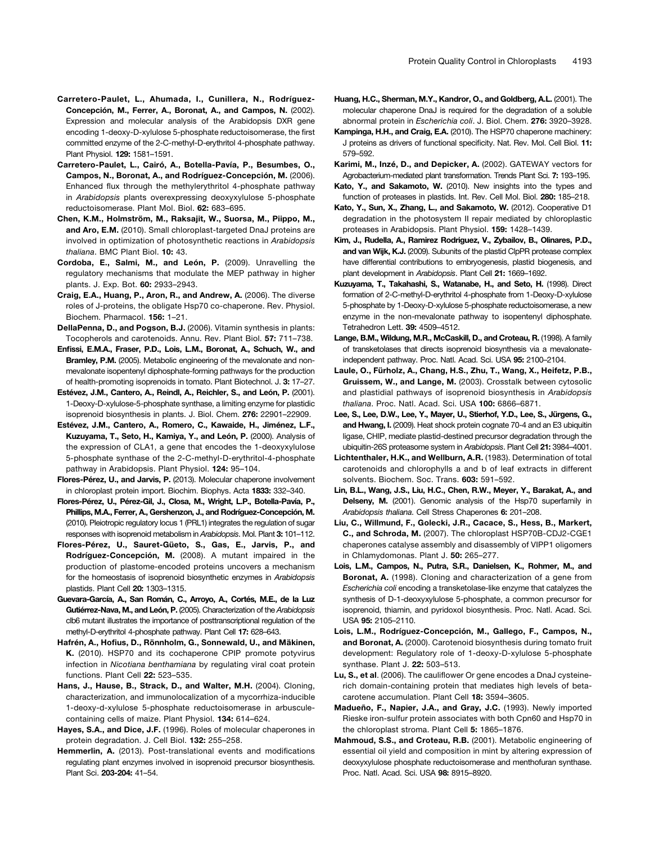- Carretero-Paulet, L., Cairó, A., Botella-Pavía, P., Besumbes, O., Campos, N., Boronat, A., and Rodríguez-Concepción, M. (2006). Enhanced flux through the methylerythritol 4-phosphate pathway in Arabidopsis plants overexpressing deoxyxylulose 5-phosphate reductoisomerase. Plant Mol. Biol. 62: 683–695.
- Chen, K.M., Holmström, M., Raksajit, W., Suorsa, M., Piippo, M., and Aro, E.M. (2010). Small chloroplast-targeted DnaJ proteins are involved in optimization of photosynthetic reactions in Arabidopsis thaliana. BMC Plant Biol. 10: 43.
- Cordoba, E., Salmi, M., and León, P. (2009). Unravelling the regulatory mechanisms that modulate the MEP pathway in higher plants. J. Exp. Bot. 60: 2933–2943.
- Craig, E.A., Huang, P., Aron, R., and Andrew, A. (2006). The diverse roles of J-proteins, the obligate Hsp70 co-chaperone. Rev. Physiol. Biochem. Pharmacol. 156: 1–21.
- DellaPenna, D., and Pogson, B.J. (2006). Vitamin synthesis in plants: Tocopherols and carotenoids. Annu. Rev. Plant Biol. 57: 711–738.
- Enfissi, E.M.A., Fraser, P.D., Lois, L.M., Boronat, A., Schuch, W., and Bramley, P.M. (2005). Metabolic engineering of the mevalonate and nonmevalonate isopentenyl diphosphate-forming pathways for the production of health-promoting isoprenoids in tomato. Plant Biotechnol. J. 3: 17–27.
- Estévez, J.M., Cantero, A., Reindl, A., Reichler, S., and León, P. (2001). 1-Deoxy-D-xylulose-5-phosphate synthase, a limiting enzyme for plastidic isoprenoid biosynthesis in plants. J. Biol. Chem. 276: 22901–22909.
- Estévez, J.M., Cantero, A., Romero, C., Kawaide, H., Jiménez, L.F., Kuzuyama, T., Seto, H., Kamiya, Y., and León, P. (2000). Analysis of the expression of CLA1, a gene that encodes the 1-deoxyxylulose 5-phosphate synthase of the 2-C-methyl-D-erythritol-4-phosphate pathway in Arabidopsis. Plant Physiol. 124: 95–104.
- Flores-Pérez, U., and Jarvis, P. (2013). Molecular chaperone involvement in chloroplast protein import. Biochim. Biophys. Acta 1833: 332–340.
- Flores-Pérez, U., Pérez-Gil, J., Closa, M., Wright, L.P., Botella-Pavía, P., Phillips, M.A., Ferrer, A., Gershenzon, J., and Rodríguez-Concepción, M. (2010). Pleiotropic regulatory locus 1 (PRL1) integrates the regulation of sugar responses with isoprenoid metabolism in Arabidopsis. Mol. Plant 3: 101–112.
- Flores-Pérez, U., Sauret-Güeto, S., Gas, E., Jarvis, P., and Rodríguez-Concepción, M. (2008). A mutant impaired in the production of plastome-encoded proteins uncovers a mechanism for the homeostasis of isoprenoid biosynthetic enzymes in Arabidopsis plastids. Plant Cell 20: 1303–1315.
- Guevara-García, A., San Román, C., Arroyo, A., Cortés, M.E., de la Luz Gutiérrez-Nava, M., and León, P. (2005). Characterization of the Arabidopsis clb6 mutant illustrates the importance of posttranscriptional regulation of the methyl-D-erythritol 4-phosphate pathway. Plant Cell 17: 628–643.
- Hafrén, A., Hofius, D., Rönnholm, G., Sonnewald, U., and Mäkinen, K. (2010). HSP70 and its cochaperone CPIP promote potyvirus infection in Nicotiana benthamiana by regulating viral coat protein functions. Plant Cell 22: 523–535.
- Hans, J., Hause, B., Strack, D., and Walter, M.H. (2004). Cloning, characterization, and immunolocalization of a mycorrhiza-inducible 1-deoxy-d-xylulose 5-phosphate reductoisomerase in arbusculecontaining cells of maize. Plant Physiol. 134: 614–624.
- Hayes, S.A., and Dice, J.F. (1996). Roles of molecular chaperones in protein degradation. J. Cell Biol. 132: 255–258.
- Hemmerlin, A. (2013). Post-translational events and modifications regulating plant enzymes involved in isoprenoid precursor biosynthesis. Plant Sci. 203-204: 41–54.
- Huang, H.C., Sherman, M.Y., Kandror, O., and Goldberg, A.L. (2001). The molecular chaperone DnaJ is required for the degradation of a soluble abnormal protein in Escherichia coli. J. Biol. Chem. 276: 3920–3928.
- Kampinga, H.H., and Craig, E.A. (2010). The HSP70 chaperone machinery: J proteins as drivers of functional specificity. Nat. Rev. Mol. Cell Biol. 11: 579–592.
- Karimi, M., Inzé, D., and Depicker, A. (2002). GATEWAY vectors for Agrobacterium-mediated plant transformation. Trends Plant Sci. 7: 193–195.
- Kato, Y., and Sakamoto, W. (2010). New insights into the types and function of proteases in plastids. Int. Rev. Cell Mol. Biol. 280: 185–218.
- Kato, Y., Sun, X., Zhang, L., and Sakamoto, W. (2012). Cooperative D1 degradation in the photosystem II repair mediated by chloroplastic proteases in Arabidopsis. Plant Physiol. 159: 1428–1439.
- Kim, J., Rudella, A., Ramirez Rodriguez, V., Zybailov, B., Olinares, P.D., and van Wijk, K.J. (2009). Subunits of the plastid ClpPR protease complex have differential contributions to embryogenesis, plastid biogenesis, and plant development in Arabidopsis. Plant Cell 21: 1669–1692.
- Kuzuyama, T., Takahashi, S., Watanabe, H., and Seto, H. (1998). Direct formation of 2-C-methyl-D-erythritol 4-phosphate from 1-Deoxy-D-xylulose 5-phosphate by 1-Deoxy-D-xylulose 5-phosphate reductoisomerase, a new enzyme in the non-mevalonate pathway to isopentenyl diphosphate. Tetrahedron Lett. 39: 4509–4512.
- Lange, B.M., Wildung, M.R., McCaskill, D., and Croteau, R. (1998). A family of transketolases that directs isoprenoid biosynthesis via a mevalonateindependent pathway. Proc. Natl. Acad. Sci. USA 95: 2100–2104.
- Laule, O., Fürholz, A., Chang, H.S., Zhu, T., Wang, X., Heifetz, P.B., Gruissem, W., and Lange, M. (2003). Crosstalk between cytosolic and plastidial pathways of isoprenoid biosynthesis in Arabidopsis thaliana. Proc. Natl. Acad. Sci. USA 100: 6866–6871.
- Lee, S., Lee, D.W., Lee, Y., Mayer, U., Stierhof, Y.D., Lee, S., Jürgens, G., and Hwang, I. (2009). Heat shock protein cognate 70-4 and an E3 ubiquitin ligase, CHIP, mediate plastid-destined precursor degradation through the ubiquitin-26S proteasome system in Arabidopsis. Plant Cell 21: 3984–4001.
- Lichtenthaler, H.K., and Wellburn, A.R. (1983). Determination of total carotenoids and chlorophylls a and b of leaf extracts in different solvents. Biochem. Soc. Trans. 603: 591–592.
- Lin, B.L., Wang, J.S., Liu, H.C., Chen, R.W., Meyer, Y., Barakat, A., and Delseny, M. (2001). Genomic analysis of the Hsp70 superfamily in Arabidopsis thaliana. Cell Stress Chaperones 6: 201-208.
- Liu, C., Willmund, F., Golecki, J.R., Cacace, S., Hess, B., Markert, C., and Schroda, M. (2007). The chloroplast HSP70B-CDJ2-CGE1 chaperones catalyse assembly and disassembly of VIPP1 oligomers in Chlamydomonas. Plant J. 50: 265–277.
- Lois, L.M., Campos, N., Putra, S.R., Danielsen, K., Rohmer, M., and Boronat, A. (1998). Cloning and characterization of a gene from Escherichia coli encoding a transketolase-like enzyme that catalyzes the synthesis of D-1-deoxyxylulose 5-phosphate, a common precursor for isoprenoid, thiamin, and pyridoxol biosynthesis. Proc. Natl. Acad. Sci. USA 95: 2105–2110.
- Lois, L.M., Rodríguez-Concepción, M., Gallego, F., Campos, N., and Boronat, A. (2000). Carotenoid biosynthesis during tomato fruit development: Regulatory role of 1-deoxy-D-xylulose 5-phosphate synthase. Plant J. 22: 503–513.
- Lu, S., et al. (2006). The cauliflower Or gene encodes a DnaJ cysteinerich domain-containing protein that mediates high levels of betacarotene accumulation. Plant Cell 18: 3594–3605.
- Madueño, F., Napier, J.A., and Gray, J.C. (1993). Newly imported Rieske iron-sulfur protein associates with both Cpn60 and Hsp70 in the chloroplast stroma. Plant Cell 5: 1865–1876.
- Mahmoud, S.S., and Croteau, R.B. (2001). Metabolic engineering of essential oil yield and composition in mint by altering expression of deoxyxylulose phosphate reductoisomerase and menthofuran synthase. Proc. Natl. Acad. Sci. USA 98: 8915–8920.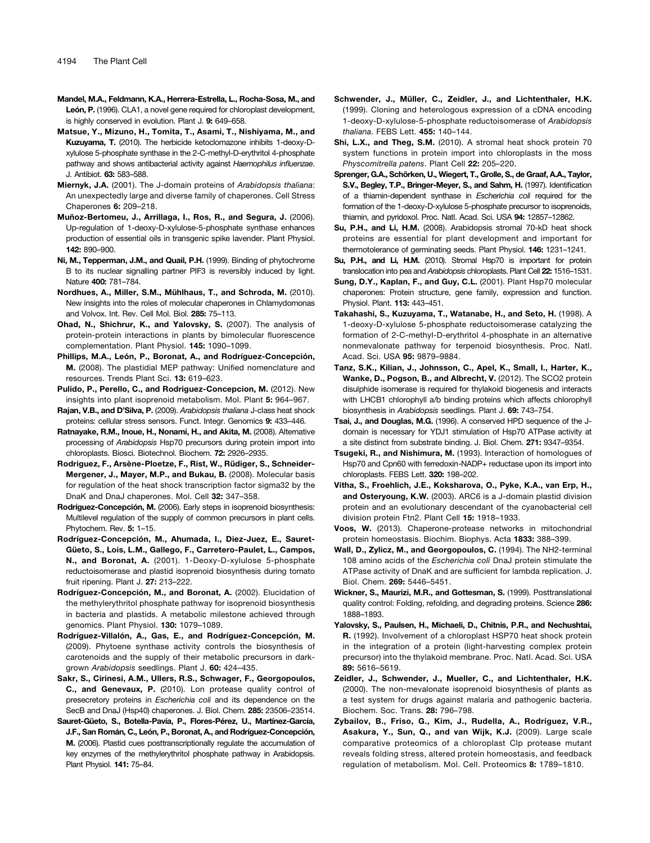- Mandel, M.A., Feldmann, K.A., Herrera-Estrella, L., Rocha-Sosa, M., and León, P. (1996). CLA1, a novel gene required for chloroplast development. is highly conserved in evolution. Plant J. 9: 649–658.
- Matsue, Y., Mizuno, H., Tomita, T., Asami, T., Nishiyama, M., and Kuzuyama, T. (2010). The herbicide ketoclomazone inhibits 1-deoxy-Dxylulose 5-phosphate synthase in the 2-C-methyl-D-erythritol 4-phosphate pathway and shows antibacterial activity against Haemophilus influenzae. J. Antibiot. 63: 583–588.
- Miernyk, J.A. (2001). The J-domain proteins of Arabidopsis thaliana: An unexpectedly large and diverse family of chaperones. Cell Stress Chaperones 6: 209–218.
- Muñoz-Bertomeu, J., Arrillaga, I., Ros, R., and Segura, J. (2006). Up-regulation of 1-deoxy-D-xylulose-5-phosphate synthase enhances production of essential oils in transgenic spike lavender. Plant Physiol. 142: 890–900.
- Ni, M., Tepperman, J.M., and Quail, P.H. (1999). Binding of phytochrome B to its nuclear signalling partner PIF3 is reversibly induced by light. Nature 400: 781–784.
- Nordhues, A., Miller, S.M., Mühlhaus, T., and Schroda, M. (2010). New insights into the roles of molecular chaperones in Chlamydomonas and Volvox. Int. Rev. Cell Mol. Biol. 285: 75–113.
- Ohad, N., Shichrur, K., and Yalovsky, S. (2007). The analysis of protein-protein interactions in plants by bimolecular fluorescence complementation. Plant Physiol. 145: 1090–1099.
- Phillips, M.A., León, P., Boronat, A., and Rodríguez-Concepción, M. (2008). The plastidial MEP pathway: Unified nomenclature and resources. Trends Plant Sci. 13: 619–623.
- Pulido, P., Perello, C., and Rodriguez-Concepcion, M. (2012). New insights into plant isoprenoid metabolism. Mol. Plant 5: 964–967.
- Rajan, V.B., and D'Silva, P. (2009). Arabidopsis thaliana J-class heat shock proteins: cellular stress sensors. Funct. Integr. Genomics 9: 433–446.
- Ratnayake, R.M., Inoue, H., Nonami, H., and Akita, M. (2008). Alternative processing of Arabidopsis Hsp70 precursors during protein import into chloroplasts. Biosci. Biotechnol. Biochem. 72: 2926–2935.
- Rodriguez, F., Arsène-Ploetze, F., Rist, W., Rüdiger, S., Schneider-Mergener, J., Mayer, M.P., and Bukau, B. (2008). Molecular basis for regulation of the heat shock transcription factor sigma32 by the DnaK and DnaJ chaperones. Mol. Cell 32: 347–358.
- Rodríguez-Concepción, M. (2006). Early steps in isoprenoid biosynthesis: Multilevel regulation of the supply of common precursors in plant cells. Phytochem. Rev. 5: 1–15.
- Rodríguez-Concepción, M., Ahumada, I., Diez-Juez, E., Sauret-Güeto, S., Lois, L.M., Gallego, F., Carretero-Paulet, L., Campos, N., and Boronat, A. (2001). 1-Deoxy-D-xylulose 5-phosphate reductoisomerase and plastid isoprenoid biosynthesis during tomato fruit ripening. Plant J. 27: 213–222.
- Rodríguez-Concepción, M., and Boronat, A. (2002). Elucidation of the methylerythritol phosphate pathway for isoprenoid biosynthesis in bacteria and plastids. A metabolic milestone achieved through genomics. Plant Physiol. 130: 1079–1089.
- Rodríguez-Villalón, A., Gas, E., and Rodríguez-Concepción, M. (2009). Phytoene synthase activity controls the biosynthesis of carotenoids and the supply of their metabolic precursors in darkgrown Arabidopsis seedlings. Plant J. 60: 424-435.
- Sakr, S., Cirinesi, A.M., Ullers, R.S., Schwager, F., Georgopoulos, C., and Genevaux, P. (2010). Lon protease quality control of presecretory proteins in Escherichia coli and its dependence on the SecB and DnaJ (Hsp40) chaperones. J. Biol. Chem. 285: 23506–23514.
- Sauret-Güeto, S., Botella-Pavía, P., Flores-Pérez, U., Martínez-García, J.F., San Román, C., León, P., Boronat, A., and Rodríguez-Concepción, M. (2006). Plastid cues posttranscriptionally regulate the accumulation of key enzymes of the methylerythritol phosphate pathway in Arabidopsis. Plant Physiol. 141: 75–84.
- Schwender, J., Müller, C., Zeidler, J., and Lichtenthaler, H.K. (1999). Cloning and heterologous expression of a cDNA encoding 1-deoxy-D-xylulose-5-phosphate reductoisomerase of Arabidopsis thaliana. FEBS Lett. 455: 140–144.
- Shi, L.X., and Theg, S.M. (2010). A stromal heat shock protein 70 system functions in protein import into chloroplasts in the moss Physcomitrella patens. Plant Cell 22: 205–220.
- Sprenger, G.A., Schörken, U., Wiegert, T., Grolle, S., de Graaf, A.A., Taylor, S.V., Begley, T.P., Bringer-Meyer, S., and Sahm, H. (1997). Identification of a thiamin-dependent synthase in Escherichia coli required for the formation of the 1-deoxy-D-xylulose 5-phosphate precursor to isoprenoids, thiamin, and pyridoxol. Proc. Natl. Acad. Sci. USA 94: 12857–12862.
- Su, P.H., and Li, H.M. (2008). Arabidopsis stromal 70-kD heat shock proteins are essential for plant development and important for thermotolerance of germinating seeds. Plant Physiol. 146: 1231–1241.
- Su, P.H., and Li, H.M. (2010). Stromal Hsp70 is important for protein translocation into pea and Arabidopsis chloroplasts. Plant Cell 22: 1516–1531.
- Sung, D.Y., Kaplan, F., and Guy, C.L. (2001). Plant Hsp70 molecular chaperones: Protein structure, gene family, expression and function. Physiol. Plant. 113: 443–451.
- Takahashi, S., Kuzuyama, T., Watanabe, H., and Seto, H. (1998). A 1-deoxy-D-xylulose 5-phosphate reductoisomerase catalyzing the formation of 2-C-methyl-D-erythritol 4-phosphate in an alternative nonmevalonate pathway for terpenoid biosynthesis. Proc. Natl. Acad. Sci. USA 95: 9879–9884.
- Tanz, S.K., Kilian, J., Johnsson, C., Apel, K., Small, I., Harter, K., Wanke, D., Pogson, B., and Albrecht, V. (2012). The SCO2 protein disulphide isomerase is required for thylakoid biogenesis and interacts with LHCB1 chlorophyll a/b binding proteins which affects chlorophyll biosynthesis in Arabidopsis seedlings. Plant J. 69: 743–754.
- Tsai, J., and Douglas, M.G. (1996). A conserved HPD sequence of the Jdomain is necessary for YDJ1 stimulation of Hsp70 ATPase activity at a site distinct from substrate binding. J. Biol. Chem. 271: 9347–9354.
- Tsugeki, R., and Nishimura, M. (1993). Interaction of homologues of Hsp70 and Cpn60 with ferredoxin-NADP+ reductase upon its import into chloroplasts. FEBS Lett. 320: 198–202.
- Vitha, S., Froehlich, J.E., Koksharova, O., Pyke, K.A., van Erp, H., and Osteryoung, K.W. (2003). ARC6 is a J-domain plastid division protein and an evolutionary descendant of the cyanobacterial cell division protein Ftn2. Plant Cell 15: 1918–1933.
- Voos, W. (2013). Chaperone-protease networks in mitochondrial protein homeostasis. Biochim. Biophys. Acta 1833: 388–399.
- Wall, D., Zylicz, M., and Georgopoulos, C. (1994). The NH2-terminal 108 amino acids of the Escherichia coli DnaJ protein stimulate the ATPase activity of DnaK and are sufficient for lambda replication. J. Biol. Chem. 269: 5446–5451.
- Wickner, S., Maurizi, M.R., and Gottesman, S. (1999). Posttranslational quality control: Folding, refolding, and degrading proteins. Science 286: 1888–1893.
- Yalovsky, S., Paulsen, H., Michaeli, D., Chitnis, P.R., and Nechushtai, R. (1992). Involvement of a chloroplast HSP70 heat shock protein in the integration of a protein (light-harvesting complex protein precursor) into the thylakoid membrane. Proc. Natl. Acad. Sci. USA 89: 5616–5619.
- Zeidler, J., Schwender, J., Mueller, C., and Lichtenthaler, H.K. (2000). The non-mevalonate isoprenoid biosynthesis of plants as a test system for drugs against malaria and pathogenic bacteria. Biochem. Soc. Trans. 28: 796–798.
- Zybailov, B., Friso, G., Kim, J., Rudella, A., Rodríguez, V.R., Asakura, Y., Sun, Q., and van Wijk, K.J. (2009). Large scale comparative proteomics of a chloroplast Clp protease mutant reveals folding stress, altered protein homeostasis, and feedback regulation of metabolism. Mol. Cell. Proteomics 8: 1789–1810.